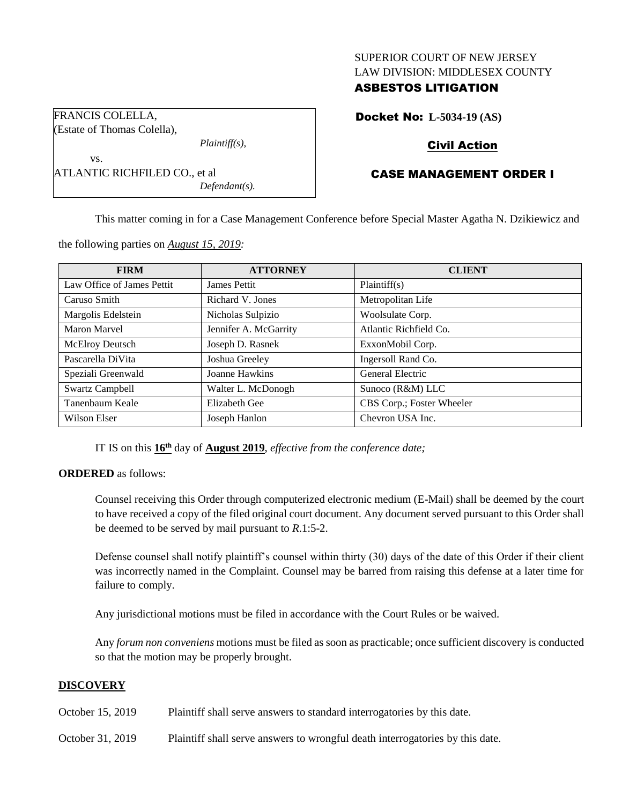## SUPERIOR COURT OF NEW JERSEY LAW DIVISION: MIDDLESEX COUNTY

## ASBESTOS LITIGATION

Docket No: **L-5034-19 (AS)**

# Civil Action

# CASE MANAGEMENT ORDER I

This matter coming in for a Case Management Conference before Special Master Agatha N. Dzikiewicz and

| <b>FIRM</b>                | <b>ATTORNEY</b>       | <b>CLIENT</b>             |
|----------------------------|-----------------------|---------------------------|
| Law Office of James Pettit | James Pettit          | Plaintiff(s)              |
| Caruso Smith               | Richard V. Jones      | Metropolitan Life         |
| Margolis Edelstein         | Nicholas Sulpizio     | Woolsulate Corp.          |
| Maron Marvel               | Jennifer A. McGarrity | Atlantic Richfield Co.    |
| McElroy Deutsch            | Joseph D. Rasnek      | ExxonMobil Corp.          |
| Pascarella DiVita          | Joshua Greeley        | Ingersoll Rand Co.        |
| Speziali Greenwald         | Joanne Hawkins        | General Electric          |
| <b>Swartz Campbell</b>     | Walter L. McDonogh    | Sunoco (R&M) LLC          |
| Tanenbaum Keale            | Elizabeth Gee         | CBS Corp.; Foster Wheeler |
| Wilson Elser               | Joseph Hanlon         | Chevron USA Inc.          |

the following parties on *August 15, 2019:*

ATLANTIC RICHFILED CO., et al

*Plaintiff(s),*

*Defendant(s).*

FRANCIS COLELLA, (Estate of Thomas Colella),

vs.

IT IS on this **16th** day of **August 2019**, *effective from the conference date;*

## **ORDERED** as follows:

Counsel receiving this Order through computerized electronic medium (E-Mail) shall be deemed by the court to have received a copy of the filed original court document. Any document served pursuant to this Order shall be deemed to be served by mail pursuant to *R*.1:5-2.

Defense counsel shall notify plaintiff's counsel within thirty (30) days of the date of this Order if their client was incorrectly named in the Complaint. Counsel may be barred from raising this defense at a later time for failure to comply.

Any jurisdictional motions must be filed in accordance with the Court Rules or be waived.

Any *forum non conveniens* motions must be filed as soon as practicable; once sufficient discovery is conducted so that the motion may be properly brought.

## **DISCOVERY**

October 15, 2019 Plaintiff shall serve answers to standard interrogatories by this date.

October 31, 2019 Plaintiff shall serve answers to wrongful death interrogatories by this date.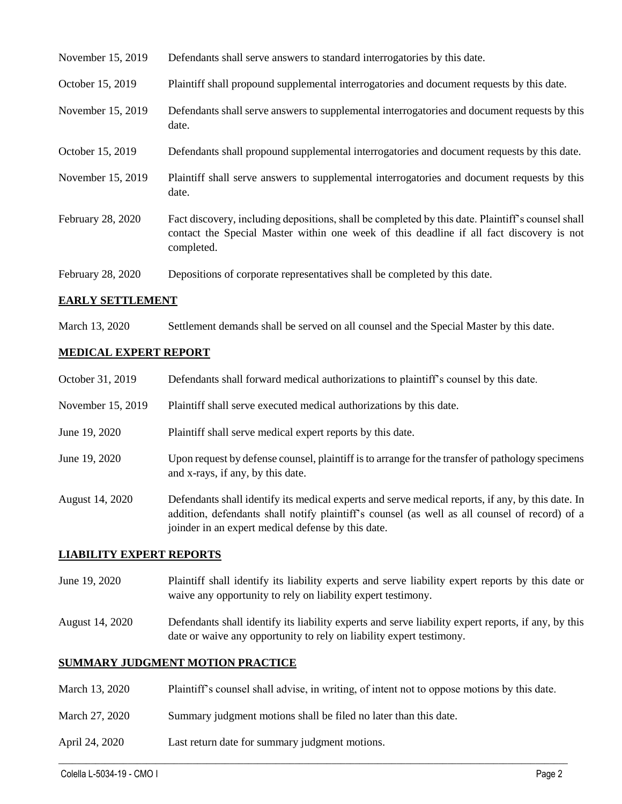| November 15, 2019 | Defendants shall serve answers to standard interrogatories by this date.                                                                                                                                    |
|-------------------|-------------------------------------------------------------------------------------------------------------------------------------------------------------------------------------------------------------|
| October 15, 2019  | Plaintiff shall propound supplemental interrogatories and document requests by this date.                                                                                                                   |
| November 15, 2019 | Defendants shall serve answers to supplemental interrogatories and document requests by this<br>date.                                                                                                       |
| October 15, 2019  | Defendants shall propound supplemental interrogatories and document requests by this date.                                                                                                                  |
| November 15, 2019 | Plaintiff shall serve answers to supplemental interrogatories and document requests by this<br>date.                                                                                                        |
| February 28, 2020 | Fact discovery, including depositions, shall be completed by this date. Plaintiff's counsel shall<br>contact the Special Master within one week of this deadline if all fact discovery is not<br>completed. |
| February 28, 2020 | Depositions of corporate representatives shall be completed by this date.                                                                                                                                   |

### **EARLY SETTLEMENT**

March 13, 2020 Settlement demands shall be served on all counsel and the Special Master by this date.

## **MEDICAL EXPERT REPORT**

| October 31, 2019  | Defendants shall forward medical authorizations to plaintiff's counsel by this date.                                                                                                                                                                     |
|-------------------|----------------------------------------------------------------------------------------------------------------------------------------------------------------------------------------------------------------------------------------------------------|
| November 15, 2019 | Plaintiff shall serve executed medical authorizations by this date.                                                                                                                                                                                      |
| June 19, 2020     | Plaintiff shall serve medical expert reports by this date.                                                                                                                                                                                               |
| June 19, 2020     | Upon request by defense counsel, plaintiff is to arrange for the transfer of pathology specimens<br>and x-rays, if any, by this date.                                                                                                                    |
| August 14, 2020   | Defendants shall identify its medical experts and serve medical reports, if any, by this date. In<br>addition, defendants shall notify plaintiff's counsel (as well as all counsel of record) of a<br>joinder in an expert medical defense by this date. |

## **LIABILITY EXPERT REPORTS**

- June 19, 2020 Plaintiff shall identify its liability experts and serve liability expert reports by this date or waive any opportunity to rely on liability expert testimony.
- August 14, 2020 Defendants shall identify its liability experts and serve liability expert reports, if any, by this date or waive any opportunity to rely on liability expert testimony.

## **SUMMARY JUDGMENT MOTION PRACTICE**

March 13, 2020 Plaintiff's counsel shall advise, in writing, of intent not to oppose motions by this date.

 $\_$  , and the set of the set of the set of the set of the set of the set of the set of the set of the set of the set of the set of the set of the set of the set of the set of the set of the set of the set of the set of th

- March 27, 2020 Summary judgment motions shall be filed no later than this date.
- April 24, 2020 Last return date for summary judgment motions.